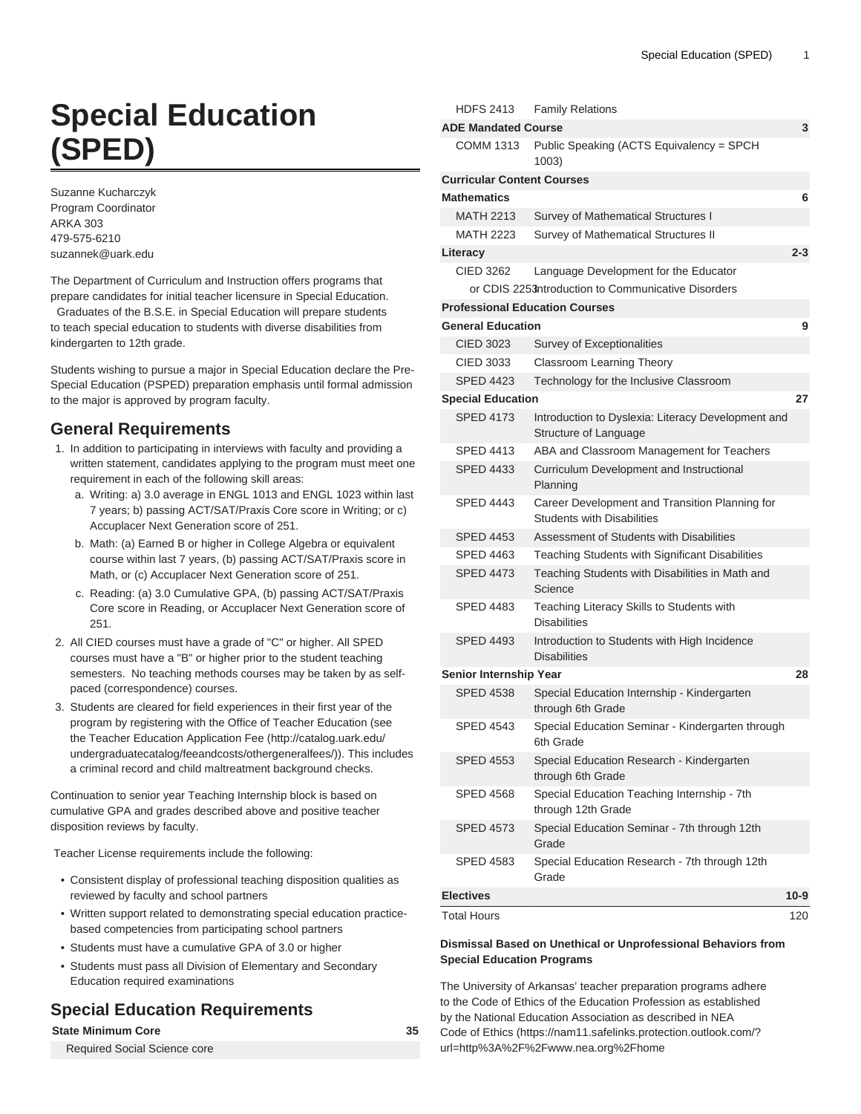# **Special Education (SPED)**

Suzanne Kucharczyk Program Coordinator ARKA 303 479-575-6210 [suzannek@uark.edu](mailto:suzannek@uark.edu)

The Department of Curriculum and Instruction offers programs that prepare candidates for initial teacher licensure in Special Education.

 Graduates of the B.S.E. in Special Education will prepare students to teach special education to students with diverse disabilities from kindergarten to 12th grade.

Students wishing to pursue a major in Special Education declare the Pre-Special Education (PSPED) preparation emphasis until formal admission to the major is approved by program faculty.

# **General Requirements**

- 1. In addition to participating in interviews with faculty and providing a written statement, candidates applying to the program must meet one requirement in each of the following skill areas:
	- a. Writing: a) 3.0 average in ENGL 1013 and ENGL 1023 within last 7 years; b) passing ACT/SAT/Praxis Core score in Writing; or c) Accuplacer Next Generation score of 251.
	- b. Math: (a) Earned B or higher in College Algebra or equivalent course within last 7 years, (b) passing ACT/SAT/Praxis score in Math, or (c) Accuplacer Next Generation score of 251.
	- c. Reading: (a) 3.0 Cumulative GPA, (b) passing ACT/SAT/Praxis Core score in Reading, or Accuplacer Next Generation score of 251.
- 2. All CIED courses must have a grade of "C" or higher. All SPED courses must have a "B" or higher prior to the student teaching semesters. No teaching methods courses may be taken by as selfpaced (correspondence) courses.
- 3. Students are cleared for field experiences in their first year of the program by registering with the Office of Teacher Education (see the [Teacher Education Application Fee](http://catalog.uark.edu/undergraduatecatalog/feeandcosts/othergeneralfees/) ([http://catalog.uark.edu/](http://catalog.uark.edu/undergraduatecatalog/feeandcosts/othergeneralfees/) [undergraduatecatalog/feeandcosts/othergeneralfees/\)](http://catalog.uark.edu/undergraduatecatalog/feeandcosts/othergeneralfees/)). This includes a criminal record and child maltreatment background checks.

Continuation to senior year Teaching Internship block is based on cumulative GPA and grades described above and positive teacher disposition reviews by faculty.

Teacher License requirements include the following:

- Consistent display of professional teaching disposition qualities as reviewed by faculty and school partners
- Written support related to demonstrating special education practicebased competencies from participating school partners
- Students must have a cumulative GPA of 3.0 or higher
- Students must pass all Division of Elementary and Secondary Education required examinations

# **Special Education Requirements**

# **State Minimum Core 35**

Required Social Science core

| <b>ADE Mandated Course</b><br>COMM 1313<br>Public Speaking (ACTS Equivalency = SPCH<br>1003)<br><b>Curricular Content Courses</b><br><b>Mathematics</b><br><b>MATH 2213</b><br>Survey of Mathematical Structures I<br>Survey of Mathematical Structures II<br><b>MATH 2223</b><br>Literacy<br><b>CIED 3262</b><br>Language Development for the Educator<br>or CDIS 2253 htroduction to Communicative Disorders<br><b>Professional Education Courses</b><br><b>General Education</b><br>CIED 3023<br>Survey of Exceptionalities<br>CIED 3033<br><b>Classroom Learning Theory</b><br><b>SPED 4423</b><br>Technology for the Inclusive Classroom<br><b>Special Education</b><br><b>SPED 4173</b><br>Introduction to Dyslexia: Literacy Development and<br>Structure of Language<br><b>SPED 4413</b><br>ABA and Classroom Management for Teachers<br><b>SPED 4433</b><br>Curriculum Development and Instructional<br>Planning<br><b>SPED 4443</b><br>Career Development and Transition Planning for<br><b>Students with Disabilities</b><br>Assessment of Students with Disabilities<br>SPED 4453<br>SPED 4463<br>Teaching Students with Significant Disabilities<br><b>SPED 4473</b><br>Teaching Students with Disabilities in Math and<br>Science<br><b>SPED 4483</b><br>Teaching Literacy Skills to Students with<br><b>Disabilities</b><br><b>SPED 4493</b><br>Introduction to Students with High Incidence<br><b>Disabilities</b><br>Senior Internship Year<br><b>SPED 4538</b><br>Special Education Internship - Kindergarten<br>through 6th Grade<br><b>SPED 4543</b><br>Special Education Seminar - Kindergarten through<br>6th Grade<br><b>SPED 4553</b><br>Special Education Research - Kindergarten<br>through 6th Grade<br>Special Education Teaching Internship - 7th<br>SPED 4568<br>through 12th Grade<br><b>SPED 4573</b><br>Special Education Seminar - 7th through 12th<br>Grade<br>Special Education Research - 7th through 12th<br>SPED 4583<br>Grade<br><b>Electives</b><br><b>Total Hours</b> |  | <b>HDFS 2413</b> | <b>Family Relations</b> |         |  |  |  |
|-----------------------------------------------------------------------------------------------------------------------------------------------------------------------------------------------------------------------------------------------------------------------------------------------------------------------------------------------------------------------------------------------------------------------------------------------------------------------------------------------------------------------------------------------------------------------------------------------------------------------------------------------------------------------------------------------------------------------------------------------------------------------------------------------------------------------------------------------------------------------------------------------------------------------------------------------------------------------------------------------------------------------------------------------------------------------------------------------------------------------------------------------------------------------------------------------------------------------------------------------------------------------------------------------------------------------------------------------------------------------------------------------------------------------------------------------------------------------------------------------------------------------------------------------------------------------------------------------------------------------------------------------------------------------------------------------------------------------------------------------------------------------------------------------------------------------------------------------------------------------------------------------------------------------------------------------------------------------------------------------------------------|--|------------------|-------------------------|---------|--|--|--|
|                                                                                                                                                                                                                                                                                                                                                                                                                                                                                                                                                                                                                                                                                                                                                                                                                                                                                                                                                                                                                                                                                                                                                                                                                                                                                                                                                                                                                                                                                                                                                                                                                                                                                                                                                                                                                                                                                                                                                                                                                 |  |                  |                         | 3       |  |  |  |
|                                                                                                                                                                                                                                                                                                                                                                                                                                                                                                                                                                                                                                                                                                                                                                                                                                                                                                                                                                                                                                                                                                                                                                                                                                                                                                                                                                                                                                                                                                                                                                                                                                                                                                                                                                                                                                                                                                                                                                                                                 |  |                  |                         |         |  |  |  |
|                                                                                                                                                                                                                                                                                                                                                                                                                                                                                                                                                                                                                                                                                                                                                                                                                                                                                                                                                                                                                                                                                                                                                                                                                                                                                                                                                                                                                                                                                                                                                                                                                                                                                                                                                                                                                                                                                                                                                                                                                 |  |                  |                         |         |  |  |  |
|                                                                                                                                                                                                                                                                                                                                                                                                                                                                                                                                                                                                                                                                                                                                                                                                                                                                                                                                                                                                                                                                                                                                                                                                                                                                                                                                                                                                                                                                                                                                                                                                                                                                                                                                                                                                                                                                                                                                                                                                                 |  |                  |                         | 6       |  |  |  |
|                                                                                                                                                                                                                                                                                                                                                                                                                                                                                                                                                                                                                                                                                                                                                                                                                                                                                                                                                                                                                                                                                                                                                                                                                                                                                                                                                                                                                                                                                                                                                                                                                                                                                                                                                                                                                                                                                                                                                                                                                 |  |                  |                         |         |  |  |  |
|                                                                                                                                                                                                                                                                                                                                                                                                                                                                                                                                                                                                                                                                                                                                                                                                                                                                                                                                                                                                                                                                                                                                                                                                                                                                                                                                                                                                                                                                                                                                                                                                                                                                                                                                                                                                                                                                                                                                                                                                                 |  |                  |                         |         |  |  |  |
|                                                                                                                                                                                                                                                                                                                                                                                                                                                                                                                                                                                                                                                                                                                                                                                                                                                                                                                                                                                                                                                                                                                                                                                                                                                                                                                                                                                                                                                                                                                                                                                                                                                                                                                                                                                                                                                                                                                                                                                                                 |  |                  |                         | $2 - 3$ |  |  |  |
|                                                                                                                                                                                                                                                                                                                                                                                                                                                                                                                                                                                                                                                                                                                                                                                                                                                                                                                                                                                                                                                                                                                                                                                                                                                                                                                                                                                                                                                                                                                                                                                                                                                                                                                                                                                                                                                                                                                                                                                                                 |  |                  |                         |         |  |  |  |
|                                                                                                                                                                                                                                                                                                                                                                                                                                                                                                                                                                                                                                                                                                                                                                                                                                                                                                                                                                                                                                                                                                                                                                                                                                                                                                                                                                                                                                                                                                                                                                                                                                                                                                                                                                                                                                                                                                                                                                                                                 |  |                  |                         |         |  |  |  |
|                                                                                                                                                                                                                                                                                                                                                                                                                                                                                                                                                                                                                                                                                                                                                                                                                                                                                                                                                                                                                                                                                                                                                                                                                                                                                                                                                                                                                                                                                                                                                                                                                                                                                                                                                                                                                                                                                                                                                                                                                 |  |                  |                         |         |  |  |  |
|                                                                                                                                                                                                                                                                                                                                                                                                                                                                                                                                                                                                                                                                                                                                                                                                                                                                                                                                                                                                                                                                                                                                                                                                                                                                                                                                                                                                                                                                                                                                                                                                                                                                                                                                                                                                                                                                                                                                                                                                                 |  |                  |                         | 9       |  |  |  |
|                                                                                                                                                                                                                                                                                                                                                                                                                                                                                                                                                                                                                                                                                                                                                                                                                                                                                                                                                                                                                                                                                                                                                                                                                                                                                                                                                                                                                                                                                                                                                                                                                                                                                                                                                                                                                                                                                                                                                                                                                 |  |                  |                         |         |  |  |  |
|                                                                                                                                                                                                                                                                                                                                                                                                                                                                                                                                                                                                                                                                                                                                                                                                                                                                                                                                                                                                                                                                                                                                                                                                                                                                                                                                                                                                                                                                                                                                                                                                                                                                                                                                                                                                                                                                                                                                                                                                                 |  |                  |                         |         |  |  |  |
|                                                                                                                                                                                                                                                                                                                                                                                                                                                                                                                                                                                                                                                                                                                                                                                                                                                                                                                                                                                                                                                                                                                                                                                                                                                                                                                                                                                                                                                                                                                                                                                                                                                                                                                                                                                                                                                                                                                                                                                                                 |  |                  |                         |         |  |  |  |
|                                                                                                                                                                                                                                                                                                                                                                                                                                                                                                                                                                                                                                                                                                                                                                                                                                                                                                                                                                                                                                                                                                                                                                                                                                                                                                                                                                                                                                                                                                                                                                                                                                                                                                                                                                                                                                                                                                                                                                                                                 |  |                  |                         | 27      |  |  |  |
|                                                                                                                                                                                                                                                                                                                                                                                                                                                                                                                                                                                                                                                                                                                                                                                                                                                                                                                                                                                                                                                                                                                                                                                                                                                                                                                                                                                                                                                                                                                                                                                                                                                                                                                                                                                                                                                                                                                                                                                                                 |  |                  |                         |         |  |  |  |
|                                                                                                                                                                                                                                                                                                                                                                                                                                                                                                                                                                                                                                                                                                                                                                                                                                                                                                                                                                                                                                                                                                                                                                                                                                                                                                                                                                                                                                                                                                                                                                                                                                                                                                                                                                                                                                                                                                                                                                                                                 |  |                  |                         |         |  |  |  |
|                                                                                                                                                                                                                                                                                                                                                                                                                                                                                                                                                                                                                                                                                                                                                                                                                                                                                                                                                                                                                                                                                                                                                                                                                                                                                                                                                                                                                                                                                                                                                                                                                                                                                                                                                                                                                                                                                                                                                                                                                 |  |                  |                         |         |  |  |  |
|                                                                                                                                                                                                                                                                                                                                                                                                                                                                                                                                                                                                                                                                                                                                                                                                                                                                                                                                                                                                                                                                                                                                                                                                                                                                                                                                                                                                                                                                                                                                                                                                                                                                                                                                                                                                                                                                                                                                                                                                                 |  |                  |                         |         |  |  |  |
|                                                                                                                                                                                                                                                                                                                                                                                                                                                                                                                                                                                                                                                                                                                                                                                                                                                                                                                                                                                                                                                                                                                                                                                                                                                                                                                                                                                                                                                                                                                                                                                                                                                                                                                                                                                                                                                                                                                                                                                                                 |  |                  |                         |         |  |  |  |
|                                                                                                                                                                                                                                                                                                                                                                                                                                                                                                                                                                                                                                                                                                                                                                                                                                                                                                                                                                                                                                                                                                                                                                                                                                                                                                                                                                                                                                                                                                                                                                                                                                                                                                                                                                                                                                                                                                                                                                                                                 |  |                  |                         |         |  |  |  |
|                                                                                                                                                                                                                                                                                                                                                                                                                                                                                                                                                                                                                                                                                                                                                                                                                                                                                                                                                                                                                                                                                                                                                                                                                                                                                                                                                                                                                                                                                                                                                                                                                                                                                                                                                                                                                                                                                                                                                                                                                 |  |                  |                         |         |  |  |  |
|                                                                                                                                                                                                                                                                                                                                                                                                                                                                                                                                                                                                                                                                                                                                                                                                                                                                                                                                                                                                                                                                                                                                                                                                                                                                                                                                                                                                                                                                                                                                                                                                                                                                                                                                                                                                                                                                                                                                                                                                                 |  |                  |                         |         |  |  |  |
|                                                                                                                                                                                                                                                                                                                                                                                                                                                                                                                                                                                                                                                                                                                                                                                                                                                                                                                                                                                                                                                                                                                                                                                                                                                                                                                                                                                                                                                                                                                                                                                                                                                                                                                                                                                                                                                                                                                                                                                                                 |  |                  |                         |         |  |  |  |
|                                                                                                                                                                                                                                                                                                                                                                                                                                                                                                                                                                                                                                                                                                                                                                                                                                                                                                                                                                                                                                                                                                                                                                                                                                                                                                                                                                                                                                                                                                                                                                                                                                                                                                                                                                                                                                                                                                                                                                                                                 |  |                  |                         | 28      |  |  |  |
|                                                                                                                                                                                                                                                                                                                                                                                                                                                                                                                                                                                                                                                                                                                                                                                                                                                                                                                                                                                                                                                                                                                                                                                                                                                                                                                                                                                                                                                                                                                                                                                                                                                                                                                                                                                                                                                                                                                                                                                                                 |  |                  |                         |         |  |  |  |
|                                                                                                                                                                                                                                                                                                                                                                                                                                                                                                                                                                                                                                                                                                                                                                                                                                                                                                                                                                                                                                                                                                                                                                                                                                                                                                                                                                                                                                                                                                                                                                                                                                                                                                                                                                                                                                                                                                                                                                                                                 |  |                  |                         |         |  |  |  |
|                                                                                                                                                                                                                                                                                                                                                                                                                                                                                                                                                                                                                                                                                                                                                                                                                                                                                                                                                                                                                                                                                                                                                                                                                                                                                                                                                                                                                                                                                                                                                                                                                                                                                                                                                                                                                                                                                                                                                                                                                 |  |                  |                         |         |  |  |  |
|                                                                                                                                                                                                                                                                                                                                                                                                                                                                                                                                                                                                                                                                                                                                                                                                                                                                                                                                                                                                                                                                                                                                                                                                                                                                                                                                                                                                                                                                                                                                                                                                                                                                                                                                                                                                                                                                                                                                                                                                                 |  |                  |                         |         |  |  |  |
|                                                                                                                                                                                                                                                                                                                                                                                                                                                                                                                                                                                                                                                                                                                                                                                                                                                                                                                                                                                                                                                                                                                                                                                                                                                                                                                                                                                                                                                                                                                                                                                                                                                                                                                                                                                                                                                                                                                                                                                                                 |  |                  |                         |         |  |  |  |
|                                                                                                                                                                                                                                                                                                                                                                                                                                                                                                                                                                                                                                                                                                                                                                                                                                                                                                                                                                                                                                                                                                                                                                                                                                                                                                                                                                                                                                                                                                                                                                                                                                                                                                                                                                                                                                                                                                                                                                                                                 |  |                  |                         |         |  |  |  |
|                                                                                                                                                                                                                                                                                                                                                                                                                                                                                                                                                                                                                                                                                                                                                                                                                                                                                                                                                                                                                                                                                                                                                                                                                                                                                                                                                                                                                                                                                                                                                                                                                                                                                                                                                                                                                                                                                                                                                                                                                 |  |                  |                         | $10-9$  |  |  |  |
|                                                                                                                                                                                                                                                                                                                                                                                                                                                                                                                                                                                                                                                                                                                                                                                                                                                                                                                                                                                                                                                                                                                                                                                                                                                                                                                                                                                                                                                                                                                                                                                                                                                                                                                                                                                                                                                                                                                                                                                                                 |  |                  |                         | 120     |  |  |  |

# **Dismissal Based on Unethical or Unprofessional Behaviors from Special Education Programs**

The University of Arkansas' teacher preparation programs adhere to the Code of Ethics of the Education Profession as established by the National Education Association as described in [NEA](https://nam11.safelinks.protection.outlook.com/?url=http%3A%2F%2Fwww.nea.org%2Fhome%2F30442.htm&data=04%7C01%7Cjgbeasle%40uark.edu%7C0274d2f2d5cc414f412908d87b85f2b5%7C79c742c4e61c4fa5be89a3cb566a80d1%7C0%7C0%7C637395162525442411%7CUnknown%7CTWFpbGZsb3d8eyJWIjoiMC4wLjAwMDAiLCJQIjoiV2luMzIiLCJBTiI6Ik1haWwiLCJXVCI6Mn0%3D%7C1000&sdata=D1rH8UNV8LIlmytDPAznXBZTz%2BrSDbxjsJ9VZBXzgas%3D&reserved=0) [Code of Ethics](https://nam11.safelinks.protection.outlook.com/?url=http%3A%2F%2Fwww.nea.org%2Fhome%2F30442.htm&data=04%7C01%7Cjgbeasle%40uark.edu%7C0274d2f2d5cc414f412908d87b85f2b5%7C79c742c4e61c4fa5be89a3cb566a80d1%7C0%7C0%7C637395162525442411%7CUnknown%7CTWFpbGZsb3d8eyJWIjoiMC4wLjAwMDAiLCJQIjoiV2luMzIiLCJBTiI6Ik1haWwiLCJXVCI6Mn0%3D%7C1000&sdata=D1rH8UNV8LIlmytDPAznXBZTz%2BrSDbxjsJ9VZBXzgas%3D&reserved=0) [\(https://nam11.safelinks.protection.outlook.com/?](https://nam11.safelinks.protection.outlook.com/?url=http%3A%2F%2Fwww.nea.org%2Fhome%2F30442.htm&data=04%7C01%7Cjgbeasle%40uark.edu%7C0274d2f2d5cc414f412908d87b85f2b5%7C79c742c4e61c4fa5be89a3cb566a80d1%7C0%7C0%7C637395162525442411%7CUnknown%7CTWFpbGZsb3d8eyJWIjoiMC4wLjAwMDAiLCJQIjoiV2luMzIiLCJBTiI6Ik1haWwiLCJXVCI6Mn0%3D%7C1000&sdata=D1rH8UNV8LIlmytDPAznXBZTz%2BrSDbxjsJ9VZBXzgas%3D&reserved=0) [url=http%3A%2F%2Fwww.nea.org%2Fhome](https://nam11.safelinks.protection.outlook.com/?url=http%3A%2F%2Fwww.nea.org%2Fhome%2F30442.htm&data=04%7C01%7Cjgbeasle%40uark.edu%7C0274d2f2d5cc414f412908d87b85f2b5%7C79c742c4e61c4fa5be89a3cb566a80d1%7C0%7C0%7C637395162525442411%7CUnknown%7CTWFpbGZsb3d8eyJWIjoiMC4wLjAwMDAiLCJQIjoiV2luMzIiLCJBTiI6Ik1haWwiLCJXVCI6Mn0%3D%7C1000&sdata=D1rH8UNV8LIlmytDPAznXBZTz%2BrSDbxjsJ9VZBXzgas%3D&reserved=0)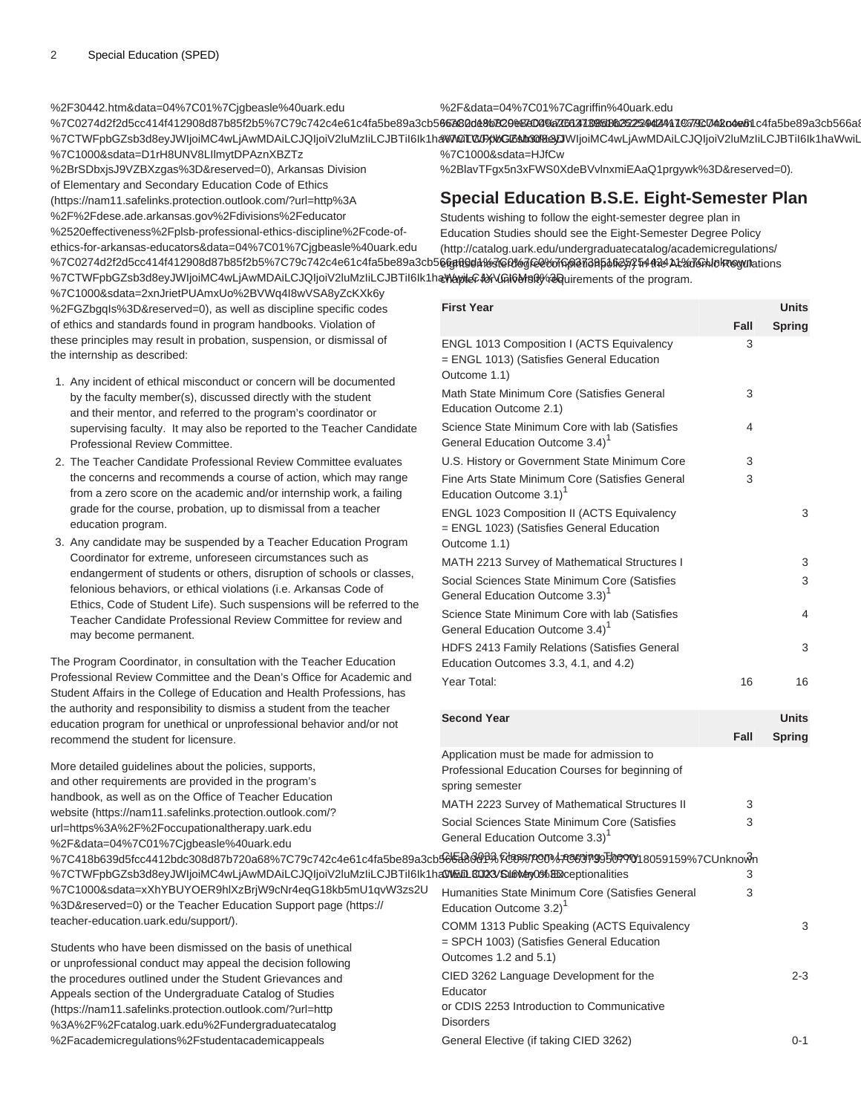[%2F30442.htm&data=04%7C01%7Cjgbeasle%40uark.edu](https://nam11.safelinks.protection.outlook.com/?url=http%3A%2F%2Fwww.nea.org%2Fhome%2F30442.htm&data=04%7C01%7Cjgbeasle%40uark.edu%7C0274d2f2d5cc414f412908d87b85f2b5%7C79c742c4e61c4fa5be89a3cb566a80d1%7C0%7C0%7C637395162525442411%7CUnknown%7CTWFpbGZsb3d8eyJWIjoiMC4wLjAwMDAiLCJQIjoiV2luMzIiLCJBTiI6Ik1haWwiLCJXVCI6Mn0%3D%7C1000&sdata=D1rH8UNV8LIlmytDPAznXBZTz%2BrSDbxjsJ9VZBXzgas%3D&reserved=0) %7C0274d2f2d5cc414f412908d87b85f2b5%7C79c742c4e61c4fa5be89a3cb5**66a82d48bB29&K04%7C637385d8b2522442471%7Kc74k04e6**1c4fa5be89a3cb566a8 %7CTWFpbGZsb3d8eyJWIjoiMC4wLjAwMDAiLCJQIjoiV2luMzIiLCJBTiI6Ik1ha**%%QT0x}%Gl%b30%aD**WIjoiMC4wLjAwMDAiLCJQIjoiV2luMzIiLCJBTiI6Ik1haWwiL [%7C1000&sdata=D1rH8UNV8LIlmytDPAznXBZTz](https://nam11.safelinks.protection.outlook.com/?url=http%3A%2F%2Fwww.nea.org%2Fhome%2F30442.htm&data=04%7C01%7Cjgbeasle%40uark.edu%7C0274d2f2d5cc414f412908d87b85f2b5%7C79c742c4e61c4fa5be89a3cb566a80d1%7C0%7C0%7C637395162525442411%7CUnknown%7CTWFpbGZsb3d8eyJWIjoiMC4wLjAwMDAiLCJQIjoiV2luMzIiLCJBTiI6Ik1haWwiLCJXVCI6Mn0%3D%7C1000&sdata=D1rH8UNV8LIlmytDPAznXBZTz%2BrSDbxjsJ9VZBXzgas%3D&reserved=0) [%2BrSDbxjsJ9VZBXzgas%3D&reserved=0](https://nam11.safelinks.protection.outlook.com/?url=http%3A%2F%2Fwww.nea.org%2Fhome%2F30442.htm&data=04%7C01%7Cjgbeasle%40uark.edu%7C0274d2f2d5cc414f412908d87b85f2b5%7C79c742c4e61c4fa5be89a3cb566a80d1%7C0%7C0%7C637395162525442411%7CUnknown%7CTWFpbGZsb3d8eyJWIjoiMC4wLjAwMDAiLCJQIjoiV2luMzIiLCJBTiI6Ik1haWwiLCJXVCI6Mn0%3D%7C1000&sdata=D1rH8UNV8LIlmytDPAznXBZTz%2BrSDbxjsJ9VZBXzgas%3D&reserved=0)), [Arkansas Division](https://nam11.safelinks.protection.outlook.com/?url=http%3A%2F%2Fdese.ade.arkansas.gov%2Fdivisions%2Feducator%2520effectiveness%2Fplsb-professional-ethics-discipline%2Fcode-of-ethics-for-arkansas-educators&data=04%7C01%7Cjgbeasle%40uark.edu%7C0274d2f2d5cc414f412908d87b85f2b5%7C79c742c4e61c4fa5be89a3cb566a80d1%7C0%7C0%7C637395162525442411%7CUnknown%7CTWFpbGZsb3d8eyJWIjoiMC4wLjAwMDAiLCJQIjoiV2luMzIiLCJBTiI6Ik1haWwiLCJXVCI6Mn0%3D%7C1000&sdata=2xnJrietPUAmxUo%2BVWq4I8wVSA8yZcKXk6y%2FGZbgqIs%3D&reserved=0) [of Elementary and Secondary Education Code of Ethics](https://nam11.safelinks.protection.outlook.com/?url=http%3A%2F%2Fdese.ade.arkansas.gov%2Fdivisions%2Feducator%2520effectiveness%2Fplsb-professional-ethics-discipline%2Fcode-of-ethics-for-arkansas-educators&data=04%7C01%7Cjgbeasle%40uark.edu%7C0274d2f2d5cc414f412908d87b85f2b5%7C79c742c4e61c4fa5be89a3cb566a80d1%7C0%7C0%7C637395162525442411%7CUnknown%7CTWFpbGZsb3d8eyJWIjoiMC4wLjAwMDAiLCJQIjoiV2luMzIiLCJBTiI6Ik1haWwiLCJXVCI6Mn0%3D%7C1000&sdata=2xnJrietPUAmxUo%2BVWq4I8wVSA8yZcKXk6y%2FGZbgqIs%3D&reserved=0) [%2F&data=04%7C01%7Cagriffin%40uark.edu](https://nam11.safelinks.protection.outlook.com/?url=http%3A%2F%2Fcatalog.uark.edu%2Fundergraduatecatalog%2Facademicregulations%2Fstudentacademicappeals%2F&data=04%7C01%7Cagriffin%40uark.edu%7C2ce8b829e8e040a2614108d8b32229d4%7C79c742c4e61c4fa5be89a3cb566a80d1%7C0%7C0%7C637456306609428034%7CUnknown%7CTWFpbGZsb3d8eyJWIjoiMC4wLjAwMDAiLCJQIjoiV2luMzIiLCJBTiI6Ik1haWwiLCJXVCI6Mn0%3D%7C1000&sdata=HJfCw%2BlavTFgx5n3xFWS0XdeBVvlnxmiEAaQ1prgywk%3D&reserved=0) [%7C1000&sdata=HJfCw](https://nam11.safelinks.protection.outlook.com/?url=http%3A%2F%2Fcatalog.uark.edu%2Fundergraduatecatalog%2Facademicregulations%2Fstudentacademicappeals%2F&data=04%7C01%7Cagriffin%40uark.edu%7C2ce8b829e8e040a2614108d8b32229d4%7C79c742c4e61c4fa5be89a3cb566a80d1%7C0%7C0%7C637456306609428034%7CUnknown%7CTWFpbGZsb3d8eyJWIjoiMC4wLjAwMDAiLCJQIjoiV2luMzIiLCJBTiI6Ik1haWwiLCJXVCI6Mn0%3D%7C1000&sdata=HJfCw%2BlavTFgx5n3xFWS0XdeBVvlnxmiEAaQ1prgywk%3D&reserved=0) [%2BlavTFgx5n3xFWS0XdeBVvlnxmiEAaQ1prgywk%3D&reserved=0\)](https://nam11.safelinks.protection.outlook.com/?url=http%3A%2F%2Fcatalog.uark.edu%2Fundergraduatecatalog%2Facademicregulations%2Fstudentacademicappeals%2F&data=04%7C01%7Cagriffin%40uark.edu%7C2ce8b829e8e040a2614108d8b32229d4%7C79c742c4e61c4fa5be89a3cb566a80d1%7C0%7C0%7C637456306609428034%7CUnknown%7CTWFpbGZsb3d8eyJWIjoiMC4wLjAwMDAiLCJQIjoiV2luMzIiLCJBTiI6Ik1haWwiLCJXVCI6Mn0%3D%7C1000&sdata=HJfCw%2BlavTFgx5n3xFWS0XdeBVvlnxmiEAaQ1prgywk%3D&reserved=0).

# **Special Education B.S.E. Eight-Semester Plan**

%7C0274d2f2d5cc414f412908d87b85f2b5%7C79c742c4e61c4fa5be89a3cb5**66gR9d1f&KGfX&KG@%TG@&75Af@AZ\$A#A%4At%d&A\/&M&M**etymations Students wishing to follow the eight-semester degree plan in Education Studies should see the [Eight-Semester Degree Policy](http://catalog.uark.edu/undergraduatecatalog/academicregulations/eightsemesterdegreecompletionpolicy/) ([http://catalog.uark.edu/undergraduatecatalog/academicregulations/](http://catalog.uark.edu/undergraduatecatalog/academicregulations/eightsemesterdegreecompletionpolicy/)

%7CTWFpbGZsb3d8eyJWIjoiMC4wLjAwMDAiLCJQIjoiV2luMzIiLCJBTil6lk1h**a\WayiLc&dX\/Gi6Ms0**yG@quirements of the program. [%7C1000&sdata=2xnJrietPUAmxUo%2BVWq4I8wVSA8yZcKXk6y](https://nam11.safelinks.protection.outlook.com/?url=http%3A%2F%2Fdese.ade.arkansas.gov%2Fdivisions%2Feducator%2520effectiveness%2Fplsb-professional-ethics-discipline%2Fcode-of-ethics-for-arkansas-educators&data=04%7C01%7Cjgbeasle%40uark.edu%7C0274d2f2d5cc414f412908d87b85f2b5%7C79c742c4e61c4fa5be89a3cb566a80d1%7C0%7C0%7C637395162525442411%7CUnknown%7CTWFpbGZsb3d8eyJWIjoiMC4wLjAwMDAiLCJQIjoiV2luMzIiLCJBTiI6Ik1haWwiLCJXVCI6Mn0%3D%7C1000&sdata=2xnJrietPUAmxUo%2BVWq4I8wVSA8yZcKXk6y%2FGZbgqIs%3D&reserved=0) [%2FGZbgqIs%3D&reserved=0](https://nam11.safelinks.protection.outlook.com/?url=http%3A%2F%2Fdese.ade.arkansas.gov%2Fdivisions%2Feducator%2520effectiveness%2Fplsb-professional-ethics-discipline%2Fcode-of-ethics-for-arkansas-educators&data=04%7C01%7Cjgbeasle%40uark.edu%7C0274d2f2d5cc414f412908d87b85f2b5%7C79c742c4e61c4fa5be89a3cb566a80d1%7C0%7C0%7C637395162525442411%7CUnknown%7CTWFpbGZsb3d8eyJWIjoiMC4wLjAwMDAiLCJQIjoiV2luMzIiLCJBTiI6Ik1haWwiLCJXVCI6Mn0%3D%7C1000&sdata=2xnJrietPUAmxUo%2BVWq4I8wVSA8yZcKXk6y%2FGZbgqIs%3D&reserved=0)), as well as discipline specific codes of ethics and standards found in program handbooks. Violation of these principles may result in probation, suspension, or dismissal of the internship as described:

[%2520effectiveness%2Fplsb-professional-ethics-discipline%2Fcode-of](https://nam11.safelinks.protection.outlook.com/?url=http%3A%2F%2Fdese.ade.arkansas.gov%2Fdivisions%2Feducator%2520effectiveness%2Fplsb-professional-ethics-discipline%2Fcode-of-ethics-for-arkansas-educators&data=04%7C01%7Cjgbeasle%40uark.edu%7C0274d2f2d5cc414f412908d87b85f2b5%7C79c742c4e61c4fa5be89a3cb566a80d1%7C0%7C0%7C637395162525442411%7CUnknown%7CTWFpbGZsb3d8eyJWIjoiMC4wLjAwMDAiLCJQIjoiV2luMzIiLCJBTiI6Ik1haWwiLCJXVCI6Mn0%3D%7C1000&sdata=2xnJrietPUAmxUo%2BVWq4I8wVSA8yZcKXk6y%2FGZbgqIs%3D&reserved=0)[ethics-for-arkansas-educators&data=04%7C01%7Cjgbeasle%40uark.edu](https://nam11.safelinks.protection.outlook.com/?url=http%3A%2F%2Fdese.ade.arkansas.gov%2Fdivisions%2Feducator%2520effectiveness%2Fplsb-professional-ethics-discipline%2Fcode-of-ethics-for-arkansas-educators&data=04%7C01%7Cjgbeasle%40uark.edu%7C0274d2f2d5cc414f412908d87b85f2b5%7C79c742c4e61c4fa5be89a3cb566a80d1%7C0%7C0%7C637395162525442411%7CUnknown%7CTWFpbGZsb3d8eyJWIjoiMC4wLjAwMDAiLCJQIjoiV2luMzIiLCJBTiI6Ik1haWwiLCJXVCI6Mn0%3D%7C1000&sdata=2xnJrietPUAmxUo%2BVWq4I8wVSA8yZcKXk6y%2FGZbgqIs%3D&reserved=0)

([https://nam11.safelinks.protection.outlook.com/?url=http%3A](https://nam11.safelinks.protection.outlook.com/?url=http%3A%2F%2Fdese.ade.arkansas.gov%2Fdivisions%2Feducator%2520effectiveness%2Fplsb-professional-ethics-discipline%2Fcode-of-ethics-for-arkansas-educators&data=04%7C01%7Cjgbeasle%40uark.edu%7C0274d2f2d5cc414f412908d87b85f2b5%7C79c742c4e61c4fa5be89a3cb566a80d1%7C0%7C0%7C637395162525442411%7CUnknown%7CTWFpbGZsb3d8eyJWIjoiMC4wLjAwMDAiLCJQIjoiV2luMzIiLCJBTiI6Ik1haWwiLCJXVCI6Mn0%3D%7C1000&sdata=2xnJrietPUAmxUo%2BVWq4I8wVSA8yZcKXk6y%2FGZbgqIs%3D&reserved=0) [%2F%2Fdese.ade.arkansas.gov%2Fdivisions%2Feducator](https://nam11.safelinks.protection.outlook.com/?url=http%3A%2F%2Fdese.ade.arkansas.gov%2Fdivisions%2Feducator%2520effectiveness%2Fplsb-professional-ethics-discipline%2Fcode-of-ethics-for-arkansas-educators&data=04%7C01%7Cjgbeasle%40uark.edu%7C0274d2f2d5cc414f412908d87b85f2b5%7C79c742c4e61c4fa5be89a3cb566a80d1%7C0%7C0%7C637395162525442411%7CUnknown%7CTWFpbGZsb3d8eyJWIjoiMC4wLjAwMDAiLCJQIjoiV2luMzIiLCJBTiI6Ik1haWwiLCJXVCI6Mn0%3D%7C1000&sdata=2xnJrietPUAmxUo%2BVWq4I8wVSA8yZcKXk6y%2FGZbgqIs%3D&reserved=0)

- 1. Any incident of ethical misconduct or concern will be documented by the faculty member(s), discussed directly with the student and their mentor, and referred to the program's coordinator or supervising faculty. It may also be reported to the Teacher Candidate Professional Review Committee.
- 2. The Teacher Candidate Professional Review Committee evaluates the concerns and recommends a course of action, which may range from a zero score on the academic and/or internship work, a failing grade for the course, probation, up to dismissal from a teacher education program.
- 3. Any candidate may be suspended by a Teacher Education Program Coordinator for extreme, unforeseen circumstances such as endangerment of students or others, disruption of schools or classes, felonious behaviors, or ethical violations (i.e. Arkansas Code of Ethics, Code of Student Life). Such suspensions will be referred to the Teacher Candidate Professional Review Committee for review and may become permanent.

The Program Coordinator, in consultation with the Teacher Education Professional Review Committee and the Dean's Office for Academic and Student Affairs in the College of Education and Health Professions, has the authority and responsibility to dismiss a student from the teacher education program for unethical or unprofessional behavior and/or not recommend the student for licensure.

More detailed guidelines about the policies, supports, and other requirements are provided in the program's handbook, as well as on the [Office of Teacher Education](https://nam11.safelinks.protection.outlook.com/?url=https%3A%2F%2Foccupationaltherapy.uark.edu%2F&data=04%7C01%7Cjgbeasle%40uark.edu%7C418b639d5fcc4412bdc308d87b720a68%7C79c742c4e61c4fa5be89a3cb566a80d1%7C0%7C0%7C637395077018059159%7CUnknown%7CTWFpbGZsb3d8eyJWIjoiMC4wLjAwMDAiLCJQIjoiV2luMzIiLCJBTiI6Ik1haWwiLCJXVCI6Mn0%3D%7C1000&sdata=xXhYBUYOER9hlXzBrjW9cNr4eqG18kb5mU1qvW3zs2U%3D&reserved=0) [website](https://nam11.safelinks.protection.outlook.com/?url=https%3A%2F%2Foccupationaltherapy.uark.edu%2F&data=04%7C01%7Cjgbeasle%40uark.edu%7C418b639d5fcc4412bdc308d87b720a68%7C79c742c4e61c4fa5be89a3cb566a80d1%7C0%7C0%7C637395077018059159%7CUnknown%7CTWFpbGZsb3d8eyJWIjoiMC4wLjAwMDAiLCJQIjoiV2luMzIiLCJBTiI6Ik1haWwiLCJXVCI6Mn0%3D%7C1000&sdata=xXhYBUYOER9hlXzBrjW9cNr4eqG18kb5mU1qvW3zs2U%3D&reserved=0) [\(https://nam11.safelinks.protection.outlook.com/?](https://nam11.safelinks.protection.outlook.com/?url=https%3A%2F%2Foccupationaltherapy.uark.edu%2F&data=04%7C01%7Cjgbeasle%40uark.edu%7C418b639d5fcc4412bdc308d87b720a68%7C79c742c4e61c4fa5be89a3cb566a80d1%7C0%7C0%7C637395077018059159%7CUnknown%7CTWFpbGZsb3d8eyJWIjoiMC4wLjAwMDAiLCJQIjoiV2luMzIiLCJBTiI6Ik1haWwiLCJXVCI6Mn0%3D%7C1000&sdata=xXhYBUYOER9hlXzBrjW9cNr4eqG18kb5mU1qvW3zs2U%3D&reserved=0) [url=https%3A%2F%2Foccupationaltherapy.uark.edu](https://nam11.safelinks.protection.outlook.com/?url=https%3A%2F%2Foccupationaltherapy.uark.edu%2F&data=04%7C01%7Cjgbeasle%40uark.edu%7C418b639d5fcc4412bdc308d87b720a68%7C79c742c4e61c4fa5be89a3cb566a80d1%7C0%7C0%7C637395077018059159%7CUnknown%7CTWFpbGZsb3d8eyJWIjoiMC4wLjAwMDAiLCJQIjoiV2luMzIiLCJBTiI6Ik1haWwiLCJXVCI6Mn0%3D%7C1000&sdata=xXhYBUYOER9hlXzBrjW9cNr4eqG18kb5mU1qvW3zs2U%3D&reserved=0) [%2F&data=04%7C01%7Cjgbeasle%40uark.edu](https://nam11.safelinks.protection.outlook.com/?url=https%3A%2F%2Foccupationaltherapy.uark.edu%2F&data=04%7C01%7Cjgbeasle%40uark.edu%7C418b639d5fcc4412bdc308d87b720a68%7C79c742c4e61c4fa5be89a3cb566a80d1%7C0%7C0%7C637395077018059159%7CUnknown%7CTWFpbGZsb3d8eyJWIjoiMC4wLjAwMDAiLCJQIjoiV2luMzIiLCJBTiI6Ik1haWwiLCJXVCI6Mn0%3D%7C1000&sdata=xXhYBUYOER9hlXzBrjW9cNr4eqG18kb5mU1qvW3zs2U%3D&reserved=0) %7C418b639d5fcc4412bdc308d87b720a68%7C79c742c4e61c4fa5be89a3cb %7CTWFpbGZsb3d8eyJWIjoiMC4wLjAwMDAiLCJQIjoiV2luMzIiLCJBTiI6Ik1h [%7C1000&sdata=xXhYBUYOER9hlXzBrjW9cNr4eqG18kb5mU1qvW3zs2U](https://nam11.safelinks.protection.outlook.com/?url=https%3A%2F%2Foccupationaltherapy.uark.edu%2F&data=04%7C01%7Cjgbeasle%40uark.edu%7C418b639d5fcc4412bdc308d87b720a68%7C79c742c4e61c4fa5be89a3cb566a80d1%7C0%7C0%7C637395077018059159%7CUnknown%7CTWFpbGZsb3d8eyJWIjoiMC4wLjAwMDAiLCJQIjoiV2luMzIiLCJBTiI6Ik1haWwiLCJXVCI6Mn0%3D%7C1000&sdata=xXhYBUYOER9hlXzBrjW9cNr4eqG18kb5mU1qvW3zs2U%3D&reserved=0) [%3D&reserved=0\)](https://nam11.safelinks.protection.outlook.com/?url=https%3A%2F%2Foccupationaltherapy.uark.edu%2F&data=04%7C01%7Cjgbeasle%40uark.edu%7C418b639d5fcc4412bdc308d87b720a68%7C79c742c4e61c4fa5be89a3cb566a80d1%7C0%7C0%7C637395077018059159%7CUnknown%7CTWFpbGZsb3d8eyJWIjoiMC4wLjAwMDAiLCJQIjoiV2luMzIiLCJBTiI6Ik1haWwiLCJXVCI6Mn0%3D%7C1000&sdata=xXhYBUYOER9hlXzBrjW9cNr4eqG18kb5mU1qvW3zs2U%3D&reserved=0) or the [Teacher Education Support page](https://teacher-education.uark.edu/support/) ([https://](https://teacher-education.uark.edu/support/) [teacher-education.uark.edu/support/\)](https://teacher-education.uark.edu/support/). Students who have been dismissed on the basis of unethical Application must be made for admission to Professional Education Courses for beginning of spring semester MATH 2223 Survey of Mathematical Structures II 3 Social Sciences State Minimum Core (Satisfies General Education Outcome 3.3)<sup>1</sup> 3 <u>ନୋୟେର ଶ୍ୟିତ ହିଁ ମଧ୍ୟରେ ଅପ୍ରଦାନ । ସେମାର୍ଡ୍ ମୁଦ୍ଧ ମୁଦ୍ଧ ସମୟରେ ଏକ ମୁଦ୍ଧ ମୁଦ୍ଧ । SAS ମୁଦ୍ଧ ଏକ ମୁଦ୍ଧ ମୁଦ୍ଧ ।</u> **CIVEMIL GOI 23/SUBVey OC% EXCEPTIONALITIES** 3 Humanities State Minimum Core (Satisfies General Education Outcome 3.2)<sup>1</sup> 3 COMM 1313 Public Speaking (ACTS Equivalency = SPCH 1003) (Satisfies General Education

**Disorders** 

or unprofessional conduct may appeal the decision following the procedures outlined under the [Student Grievances and](https://nam11.safelinks.protection.outlook.com/?url=http%3A%2F%2Fcatalog.uark.edu%2Fundergraduatecatalog%2Facademicregulations%2Fstudentacademicappeals%2F&data=04%7C01%7Cagriffin%40uark.edu%7C2ce8b829e8e040a2614108d8b32229d4%7C79c742c4e61c4fa5be89a3cb566a80d1%7C0%7C0%7C637456306609428034%7CUnknown%7CTWFpbGZsb3d8eyJWIjoiMC4wLjAwMDAiLCJQIjoiV2luMzIiLCJBTiI6Ik1haWwiLCJXVCI6Mn0%3D%7C1000&sdata=HJfCw%2BlavTFgx5n3xFWS0XdeBVvlnxmiEAaQ1prgywk%3D&reserved=0) [Appeals section of the Undergraduate Catalog of Studies](https://nam11.safelinks.protection.outlook.com/?url=http%3A%2F%2Fcatalog.uark.edu%2Fundergraduatecatalog%2Facademicregulations%2Fstudentacademicappeals%2F&data=04%7C01%7Cagriffin%40uark.edu%7C2ce8b829e8e040a2614108d8b32229d4%7C79c742c4e61c4fa5be89a3cb566a80d1%7C0%7C0%7C637456306609428034%7CUnknown%7CTWFpbGZsb3d8eyJWIjoiMC4wLjAwMDAiLCJQIjoiV2luMzIiLCJBTiI6Ik1haWwiLCJXVCI6Mn0%3D%7C1000&sdata=HJfCw%2BlavTFgx5n3xFWS0XdeBVvlnxmiEAaQ1prgywk%3D&reserved=0) ([https://nam11.safelinks.protection.outlook.com/?url=http](https://nam11.safelinks.protection.outlook.com/?url=http%3A%2F%2Fcatalog.uark.edu%2Fundergraduatecatalog%2Facademicregulations%2Fstudentacademicappeals%2F&data=04%7C01%7Cagriffin%40uark.edu%7C2ce8b829e8e040a2614108d8b32229d4%7C79c742c4e61c4fa5be89a3cb566a80d1%7C0%7C0%7C637456306609428034%7CUnknown%7CTWFpbGZsb3d8eyJWIjoiMC4wLjAwMDAiLCJQIjoiV2luMzIiLCJBTiI6Ik1haWwiLCJXVCI6Mn0%3D%7C1000&sdata=HJfCw%2BlavTFgx5n3xFWS0XdeBVvlnxmiEAaQ1prgywk%3D&reserved=0) [%3A%2F%2Fcatalog.uark.edu%2Fundergraduatecatalog](https://nam11.safelinks.protection.outlook.com/?url=http%3A%2F%2Fcatalog.uark.edu%2Fundergraduatecatalog%2Facademicregulations%2Fstudentacademicappeals%2F&data=04%7C01%7Cagriffin%40uark.edu%7C2ce8b829e8e040a2614108d8b32229d4%7C79c742c4e61c4fa5be89a3cb566a80d1%7C0%7C0%7C637456306609428034%7CUnknown%7CTWFpbGZsb3d8eyJWIjoiMC4wLjAwMDAiLCJQIjoiV2luMzIiLCJBTiI6Ik1haWwiLCJXVCI6Mn0%3D%7C1000&sdata=HJfCw%2BlavTFgx5n3xFWS0XdeBVvlnxmiEAaQ1prgywk%3D&reserved=0) [%2Facademicregulations%2Fstudentacademicappeals](https://nam11.safelinks.protection.outlook.com/?url=http%3A%2F%2Fcatalog.uark.edu%2Fundergraduatecatalog%2Facademicregulations%2Fstudentacademicappeals%2F&data=04%7C01%7Cagriffin%40uark.edu%7C2ce8b829e8e040a2614108d8b32229d4%7C79c742c4e61c4fa5be89a3cb566a80d1%7C0%7C0%7C637456306609428034%7CUnknown%7CTWFpbGZsb3d8eyJWIjoiMC4wLjAwMDAiLCJQIjoiV2luMzIiLCJBTiI6Ik1haWwiLCJXVCI6Mn0%3D%7C1000&sdata=HJfCw%2BlavTFgx5n3xFWS0XdeBVvlnxmiEAaQ1prgywk%3D&reserved=0)

| <b>First Year</b>                                                                                                 | Fall | Units<br><b>Spring</b> |
|-------------------------------------------------------------------------------------------------------------------|------|------------------------|
| <b>ENGL 1013 Composition I (ACTS Equivalency</b><br>= ENGL 1013) (Satisfies General Education<br>Outcome 1.1)     | 3    |                        |
| Math State Minimum Core (Satisfies General<br>Education Outcome 2.1)                                              | 3    |                        |
| Science State Minimum Core with lab (Satisfies<br>General Education Outcome 3.4) <sup>1</sup>                     | 4    |                        |
| U.S. History or Government State Minimum Core                                                                     | 3    |                        |
| Fine Arts State Minimum Core (Satisfies General<br>Education Outcome 3.1) <sup>1</sup>                            | 3    |                        |
| ENGL 1023 Composition II (ACTS Equivalency<br>= ENGL 1023) (Satisfies General Education<br>Outcome 1.1)           |      | 3                      |
| MATH 2213 Survey of Mathematical Structures I                                                                     |      | 3                      |
| Social Sciences State Minimum Core (Satisfies<br>General Education Outcome 3.3) <sup>1</sup>                      |      | 3                      |
| Science State Minimum Core with lab (Satisfies<br>General Education Outcome 3.4) <sup>1</sup>                     |      | 4                      |
| HDFS 2413 Family Relations (Satisfies General<br>Education Outcomes 3.3, 4.1, and 4.2)                            |      | 3                      |
| Year Total:                                                                                                       | 16   | 16                     |
| <b>Second Year</b>                                                                                                |      | <b>Units</b>           |
|                                                                                                                   | Fall | <b>Spring</b>          |
| Application must be made for admission to<br>Professional Education Courses for beginning of<br>spring semester   |      |                        |
| MATH 2223 Survey of Mathematical Structures II                                                                    | 3    |                        |
| Social Sciences State Minimum Core (Satisfies<br>General Education Outcome 3.3) <sup>1</sup>                      | 3    |                        |
| 56652860P%Rdassmoon/Feersing5F099W18059159%7CUnknown<br>aCWELLGQ23/SU6WayO3%BEXceptionalities                     | 3    |                        |
| Humanities State Minimum Core (Satisfies General<br>Education Outcome 3.2) <sup>1</sup>                           | 3    |                        |
| COMM 1313 Public Speaking (ACTS Equivalency<br>= SPCH 1003) (Satisfies General Education<br>Outcomes 1.2 and 5.1) |      | 3                      |
| CIED 3262 Language Development for the<br>Educator<br>or CDIS 2253 Introduction to Communicative                  |      | $2 - 3$                |
|                                                                                                                   |      |                        |

General Elective (if taking CIED 3262) 0-1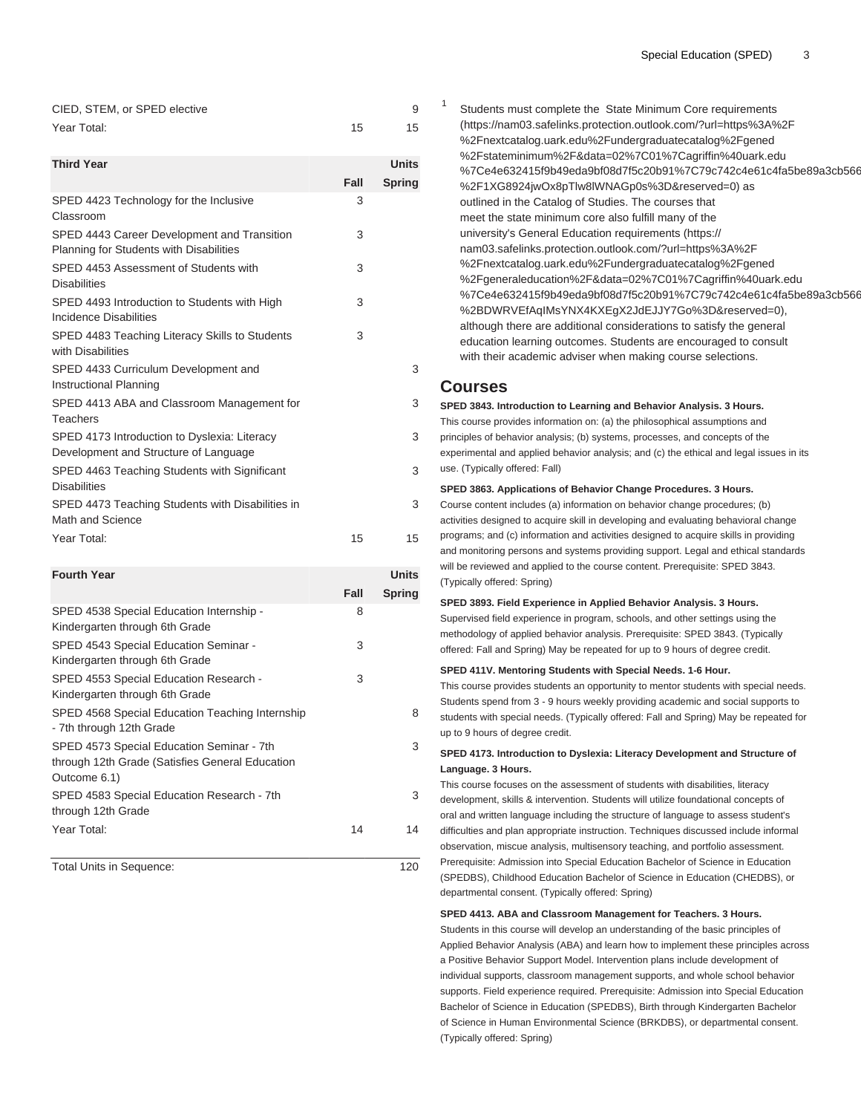| CIED, STEM, or SPED elective |    |
|------------------------------|----|
| Year Total:                  | 15 |

| <b>Third Year</b>                                                                      |      | <b>Units</b>  |  |
|----------------------------------------------------------------------------------------|------|---------------|--|
|                                                                                        | Fall | <b>Spring</b> |  |
| SPED 4423 Technology for the Inclusive<br>Classroom                                    | 3    |               |  |
| SPED 4443 Career Development and Transition<br>Planning for Students with Disabilities | 3    |               |  |
| SPED 4453 Assessment of Students with<br><b>Disabilities</b>                           | 3    |               |  |
| SPED 4493 Introduction to Students with High<br>Incidence Disabilities                 | 3    |               |  |
| SPED 4483 Teaching Literacy Skills to Students<br>with Disabilities                    | 3    |               |  |
| SPED 4433 Curriculum Development and<br>Instructional Planning                         |      | 3             |  |
| SPED 4413 ABA and Classroom Management for<br>Teachers                                 |      | 3             |  |
| SPED 4173 Introduction to Dyslexia: Literacy<br>Development and Structure of Language  |      | 3             |  |
| SPED 4463 Teaching Students with Significant<br><b>Disabilities</b>                    |      | 3             |  |
| SPED 4473 Teaching Students with Disabilities in<br>Math and Science                   |      | 3             |  |
| Year Total:                                                                            | 15   | 15            |  |

| <b>Fourth Year</b>                                                                                           |      | <b>Units</b>  |  |
|--------------------------------------------------------------------------------------------------------------|------|---------------|--|
|                                                                                                              | Fall | <b>Spring</b> |  |
| SPED 4538 Special Education Internship -<br>Kindergarten through 6th Grade                                   | 8    |               |  |
| SPED 4543 Special Education Seminar -<br>Kindergarten through 6th Grade                                      | 3    |               |  |
| SPED 4553 Special Education Research -<br>Kindergarten through 6th Grade                                     | 3    |               |  |
| SPED 4568 Special Education Teaching Internship<br>- 7th through 12th Grade                                  |      | 8             |  |
| SPED 4573 Special Education Seminar - 7th<br>through 12th Grade (Satisfies General Education<br>Outcome 6.1) |      | 3             |  |
| SPED 4583 Special Education Research - 7th<br>through 12th Grade                                             |      | 3             |  |
| Year Total:                                                                                                  | 14   | 14            |  |

Total Units in Sequence: 120

Students must complete the [State Minimum Core requirements](https://nam03.safelinks.protection.outlook.com/?url=https%3A%2F%2Fnextcatalog.uark.edu%2Fundergraduatecatalog%2Fgened%2Fstateminimum%2F&data=02%7C01%7Cagriffin%40uark.edu%7Ce4e632415f9b49eda9bf08d7f5c20b91%7C79c742c4e61c4fa5be89a3cb566a80d1%7C0%7C0%7C637248086069611524&sdata=4bJ2Oob83N8KfTkGD%2F1XG8924jwOx8pTlw8lWNAGp0s%3D&reserved=0) [\(https://nam03.safelinks.protection.outlook.com/?url=https%3A%2F](https://nam03.safelinks.protection.outlook.com/?url=https%3A%2F%2Fnextcatalog.uark.edu%2Fundergraduatecatalog%2Fgened%2Fstateminimum%2F&data=02%7C01%7Cagriffin%40uark.edu%7Ce4e632415f9b49eda9bf08d7f5c20b91%7C79c742c4e61c4fa5be89a3cb566a80d1%7C0%7C0%7C637248086069611524&sdata=4bJ2Oob83N8KfTkGD%2F1XG8924jwOx8pTlw8lWNAGp0s%3D&reserved=0) [%2Fnextcatalog.uark.edu%2Fundergraduatecatalog%2Fgened](https://nam03.safelinks.protection.outlook.com/?url=https%3A%2F%2Fnextcatalog.uark.edu%2Fundergraduatecatalog%2Fgened%2Fstateminimum%2F&data=02%7C01%7Cagriffin%40uark.edu%7Ce4e632415f9b49eda9bf08d7f5c20b91%7C79c742c4e61c4fa5be89a3cb566a80d1%7C0%7C0%7C637248086069611524&sdata=4bJ2Oob83N8KfTkGD%2F1XG8924jwOx8pTlw8lWNAGp0s%3D&reserved=0) [%2Fstateminimum%2F&data=02%7C01%7Cagriffin%40uark.edu](https://nam03.safelinks.protection.outlook.com/?url=https%3A%2F%2Fnextcatalog.uark.edu%2Fundergraduatecatalog%2Fgened%2Fstateminimum%2F&data=02%7C01%7Cagriffin%40uark.edu%7Ce4e632415f9b49eda9bf08d7f5c20b91%7C79c742c4e61c4fa5be89a3cb566a80d1%7C0%7C0%7C637248086069611524&sdata=4bJ2Oob83N8KfTkGD%2F1XG8924jwOx8pTlw8lWNAGp0s%3D&reserved=0) %7Ce4e632415f9b49eda9bf08d7f5c20b91%7C79c742c4e61c4fa5be89a3cb566 [%2F1XG8924jwOx8pTlw8lWNAGp0s%3D&reserved=0\)](https://nam03.safelinks.protection.outlook.com/?url=https%3A%2F%2Fnextcatalog.uark.edu%2Fundergraduatecatalog%2Fgened%2Fstateminimum%2F&data=02%7C01%7Cagriffin%40uark.edu%7Ce4e632415f9b49eda9bf08d7f5c20b91%7C79c742c4e61c4fa5be89a3cb566a80d1%7C0%7C0%7C637248086069611524&sdata=4bJ2Oob83N8KfTkGD%2F1XG8924jwOx8pTlw8lWNAGp0s%3D&reserved=0) as outlined in the Catalog of Studies. The courses that meet the state minimum core also fulfill many of the university's [General Education requirements](https://nam03.safelinks.protection.outlook.com/?url=https%3A%2F%2Fnextcatalog.uark.edu%2Fundergraduatecatalog%2Fgened%2Fgeneraleducation%2F&data=02%7C01%7Cagriffin%40uark.edu%7Ce4e632415f9b49eda9bf08d7f5c20b91%7C79c742c4e61c4fa5be89a3cb566a80d1%7C0%7C0%7C637248086069621479&sdata=QptR3u0pvU0Z%2BDWRVEfAqIMsYNX4KXEgX2JdEJJY7Go%3D&reserved=0) ([https://](https://nam03.safelinks.protection.outlook.com/?url=https%3A%2F%2Fnextcatalog.uark.edu%2Fundergraduatecatalog%2Fgened%2Fgeneraleducation%2F&data=02%7C01%7Cagriffin%40uark.edu%7Ce4e632415f9b49eda9bf08d7f5c20b91%7C79c742c4e61c4fa5be89a3cb566a80d1%7C0%7C0%7C637248086069621479&sdata=QptR3u0pvU0Z%2BDWRVEfAqIMsYNX4KXEgX2JdEJJY7Go%3D&reserved=0) [nam03.safelinks.protection.outlook.com/?url=https%3A%2F](https://nam03.safelinks.protection.outlook.com/?url=https%3A%2F%2Fnextcatalog.uark.edu%2Fundergraduatecatalog%2Fgened%2Fgeneraleducation%2F&data=02%7C01%7Cagriffin%40uark.edu%7Ce4e632415f9b49eda9bf08d7f5c20b91%7C79c742c4e61c4fa5be89a3cb566a80d1%7C0%7C0%7C637248086069621479&sdata=QptR3u0pvU0Z%2BDWRVEfAqIMsYNX4KXEgX2JdEJJY7Go%3D&reserved=0) [%2Fnextcatalog.uark.edu%2Fundergraduatecatalog%2Fgened](https://nam03.safelinks.protection.outlook.com/?url=https%3A%2F%2Fnextcatalog.uark.edu%2Fundergraduatecatalog%2Fgened%2Fgeneraleducation%2F&data=02%7C01%7Cagriffin%40uark.edu%7Ce4e632415f9b49eda9bf08d7f5c20b91%7C79c742c4e61c4fa5be89a3cb566a80d1%7C0%7C0%7C637248086069621479&sdata=QptR3u0pvU0Z%2BDWRVEfAqIMsYNX4KXEgX2JdEJJY7Go%3D&reserved=0) [%2Fgeneraleducation%2F&data=02%7C01%7Cagriffin%40uark.edu](https://nam03.safelinks.protection.outlook.com/?url=https%3A%2F%2Fnextcatalog.uark.edu%2Fundergraduatecatalog%2Fgened%2Fgeneraleducation%2F&data=02%7C01%7Cagriffin%40uark.edu%7Ce4e632415f9b49eda9bf08d7f5c20b91%7C79c742c4e61c4fa5be89a3cb566a80d1%7C0%7C0%7C637248086069621479&sdata=QptR3u0pvU0Z%2BDWRVEfAqIMsYNX4KXEgX2JdEJJY7Go%3D&reserved=0) %7Ce4e632415f9b49eda9bf08d7f5c20b91%7C79c742c4e61c4fa5be89a3cb566 [%2BDWRVEfAqIMsYNX4KXEgX2JdEJJY7Go%3D&reserved=0](https://nam03.safelinks.protection.outlook.com/?url=https%3A%2F%2Fnextcatalog.uark.edu%2Fundergraduatecatalog%2Fgened%2Fgeneraleducation%2F&data=02%7C01%7Cagriffin%40uark.edu%7Ce4e632415f9b49eda9bf08d7f5c20b91%7C79c742c4e61c4fa5be89a3cb566a80d1%7C0%7C0%7C637248086069621479&sdata=QptR3u0pvU0Z%2BDWRVEfAqIMsYNX4KXEgX2JdEJJY7Go%3D&reserved=0)), although there are additional considerations to satisfy the general education learning outcomes. Students are encouraged to consult with their academic adviser when making course selections.

# **Courses**

1

**SPED 3843. Introduction to Learning and Behavior Analysis. 3 Hours.** This course provides information on: (a) the philosophical assumptions and principles of behavior analysis; (b) systems, processes, and concepts of the experimental and applied behavior analysis; and (c) the ethical and legal issues in its use. (Typically offered: Fall)

### **SPED 3863. Applications of Behavior Change Procedures. 3 Hours.**

Course content includes (a) information on behavior change procedures; (b) activities designed to acquire skill in developing and evaluating behavioral change programs; and (c) information and activities designed to acquire skills in providing and monitoring persons and systems providing support. Legal and ethical standards will be reviewed and applied to the course content. Prerequisite: [SPED 3843.](/search/?P=SPED%203843) (Typically offered: Spring)

**SPED 3893. Field Experience in Applied Behavior Analysis. 3 Hours.** Supervised field experience in program, schools, and other settings using the methodology of applied behavior analysis. Prerequisite: [SPED 3843](/search/?P=SPED%203843). (Typically offered: Fall and Spring) May be repeated for up to 9 hours of degree credit.

# **SPED 411V. Mentoring Students with Special Needs. 1-6 Hour.**

This course provides students an opportunity to mentor students with special needs. Students spend from 3 - 9 hours weekly providing academic and social supports to students with special needs. (Typically offered: Fall and Spring) May be repeated for up to 9 hours of degree credit.

### **SPED 4173. Introduction to Dyslexia: Literacy Development and Structure of Language. 3 Hours.**

This course focuses on the assessment of students with disabilities, literacy development, skills & intervention. Students will utilize foundational concepts of oral and written language including the structure of language to assess student's difficulties and plan appropriate instruction. Techniques discussed include informal observation, miscue analysis, multisensory teaching, and portfolio assessment. Prerequisite: Admission into Special Education Bachelor of Science in Education (SPEDBS), Childhood Education Bachelor of Science in Education (CHEDBS), or departmental consent. (Typically offered: Spring)

#### **SPED 4413. ABA and Classroom Management for Teachers. 3 Hours.**

Students in this course will develop an understanding of the basic principles of Applied Behavior Analysis (ABA) and learn how to implement these principles across a Positive Behavior Support Model. Intervention plans include development of individual supports, classroom management supports, and whole school behavior supports. Field experience required. Prerequisite: Admission into Special Education Bachelor of Science in Education (SPEDBS), Birth through Kindergarten Bachelor of Science in Human Environmental Science (BRKDBS), or departmental consent. (Typically offered: Spring)